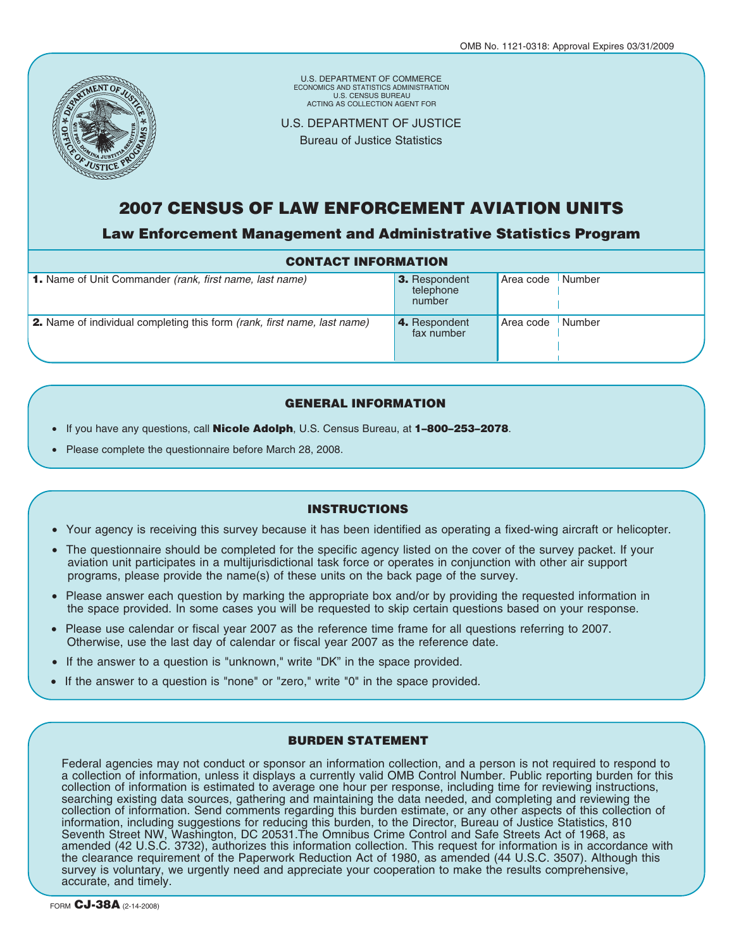

U.S. DEPARTMENT OF COMMERCE U.S. CENSUS BUREAU ECONOMICS AND STATISTICS ADMINISTRATION ACTING AS COLLECTION AGENT FOR

U.S. DEPARTMENT OF JUSTICE

Bureau of Justice Statistics

## **2007 CENSUS OF LAW ENFORCEMENT AVIATION UNITS**

**Law Enforcement Management and Administrative Statistics Program**

| <b>CONTACT INFORMATION</b>                                                      |                                      |           |                     |  |  |  |  |  |  |
|---------------------------------------------------------------------------------|--------------------------------------|-----------|---------------------|--|--|--|--|--|--|
| <b>1.</b> Name of Unit Commander (rank, first name, last name)                  | 3. Respondent<br>telephone<br>number | Area code | Number              |  |  |  |  |  |  |
| <b>2.</b> Name of individual completing this form (rank, first name, last name) | 4. Respondent<br>fax number          | Area code | <sup>I</sup> Number |  |  |  |  |  |  |

### **GENERAL INFORMATION**

- If you have any questions, call **Nicole Adolph**, U.S. Census Bureau, at **1–800–253–2078**.
- Please complete the questionnaire before March 28, 2008.

#### **INSTRUCTIONS**

- Your agency is receiving this survey because it has been identified as operating a fixed-wing aircraft or helicopter.
- The questionnaire should be completed for the specific agency listed on the cover of the survey packet. If your aviation unit participates in a multijurisdictional task force or operates in conjunction with other air support programs, please provide the name(s) of these units on the back page of the survey.
- Please answer each question by marking the appropriate box and/or by providing the requested information in the space provided. In some cases you will be requested to skip certain questions based on your response.
- Please use calendar or fiscal year 2007 as the reference time frame for all questions referring to 2007. Otherwise, use the last day of calendar or fiscal year 2007 as the reference date.
- If the answer to a question is "unknown," write "DK" in the space provided.
- If the answer to a question is "none" or "zero," write "0" in the space provided.

#### **BURDEN STATEMENT**

Federal agencies may not conduct or sponsor an information collection, and a person is not required to respond to a collection of information, unless it displays a currently valid OMB Control Number. Public reporting burden for this collection of information is estimated to average one hour per response, including time for reviewing instructions, searching existing data sources, gathering and maintaining the data needed, and completing and reviewing the collection of information. Send comments regarding this burden estimate, or any other aspects of this collection of information, including suggestions for reducing this burden, to the Director, Bureau of Justice Statistics, 810 Seventh Street NW, Washington, DC 20531.The Omnibus Crime Control and Safe Streets Act of 1968, as amended (42 U.S.C. 3732), authorizes this information collection. This request for information is in accordance with the clearance requirement of the Paperwork Reduction Act of 1980, as amended (44 U.S.C. 3507). Although this survey is voluntary, we urgently need and appreciate your cooperation to make the results comprehensive, accurate, and timely.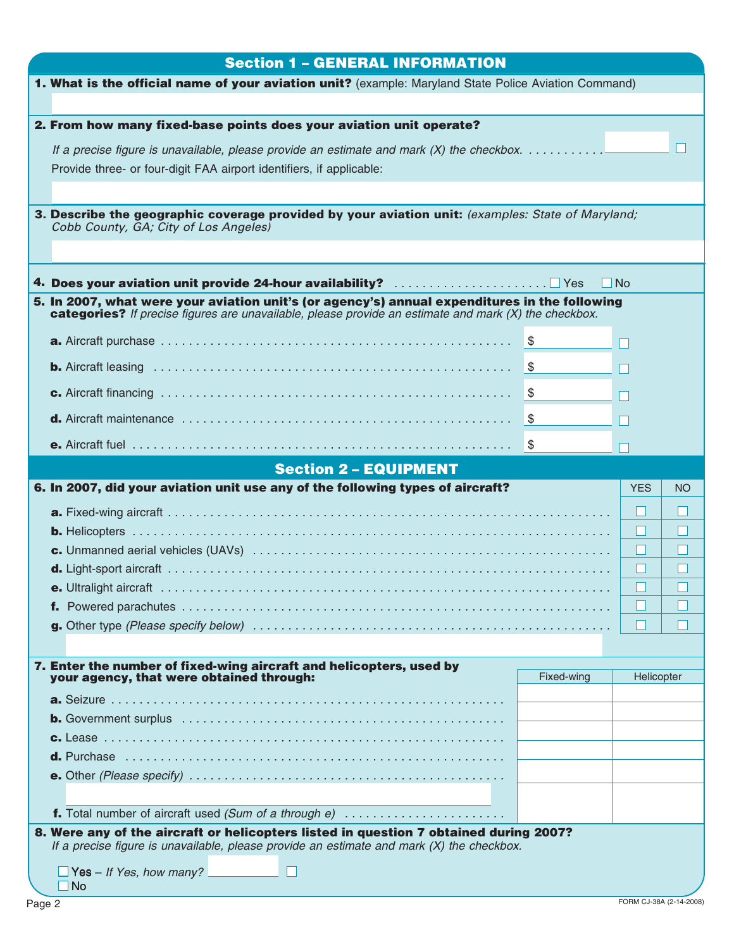| <b>Section 1 - GENERAL INFORMATION</b>                                                                                                                                                                 |            |            |           |
|--------------------------------------------------------------------------------------------------------------------------------------------------------------------------------------------------------|------------|------------|-----------|
| 1. What is the official name of your aviation unit? (example: Maryland State Police Aviation Command)                                                                                                  |            |            |           |
|                                                                                                                                                                                                        |            |            |           |
| 2. From how many fixed-base points does your aviation unit operate?                                                                                                                                    |            |            |           |
|                                                                                                                                                                                                        |            |            |           |
| Provide three- or four-digit FAA airport identifiers, if applicable:                                                                                                                                   |            |            |           |
|                                                                                                                                                                                                        |            |            |           |
| 3. Describe the geographic coverage provided by your aviation unit: (examples: State of Maryland;                                                                                                      |            |            |           |
| Cobb County, GA; City of Los Angeles)                                                                                                                                                                  |            |            |           |
|                                                                                                                                                                                                        |            |            |           |
|                                                                                                                                                                                                        |            |            |           |
|                                                                                                                                                                                                        |            | l No       |           |
| 5. In 2007, what were your aviation unit's (or agency's) annual expenditures in the following<br>categories? If precise figures are unavailable, please provide an estimate and mark (X) the checkbox. |            |            |           |
|                                                                                                                                                                                                        |            |            |           |
|                                                                                                                                                                                                        |            | П          |           |
|                                                                                                                                                                                                        |            |            |           |
|                                                                                                                                                                                                        |            |            |           |
|                                                                                                                                                                                                        |            |            |           |
|                                                                                                                                                                                                        |            |            |           |
| <b>Section 2 - EQUIPMENT</b>                                                                                                                                                                           |            |            |           |
| 6. In 2007, did your aviation unit use any of the following types of aircraft?                                                                                                                         |            | <b>YES</b> | <b>NO</b> |
|                                                                                                                                                                                                        |            |            |           |
|                                                                                                                                                                                                        |            | ப          |           |
|                                                                                                                                                                                                        |            |            |           |
|                                                                                                                                                                                                        |            | ш          |           |
|                                                                                                                                                                                                        |            |            |           |
|                                                                                                                                                                                                        |            |            |           |
|                                                                                                                                                                                                        |            | $\Box$     |           |
|                                                                                                                                                                                                        |            |            |           |
|                                                                                                                                                                                                        |            |            |           |
|                                                                                                                                                                                                        |            |            |           |
| 7. Enter the number of fixed-wing aircraft and helicopters, used by<br>your agency, that were obtained through:                                                                                        | Fixed-wing | Helicopter |           |
|                                                                                                                                                                                                        |            |            |           |
|                                                                                                                                                                                                        |            |            |           |
|                                                                                                                                                                                                        |            |            |           |
|                                                                                                                                                                                                        |            |            |           |
|                                                                                                                                                                                                        |            |            |           |
|                                                                                                                                                                                                        |            |            |           |
| f. Total number of aircraft used (Sum of a through e)                                                                                                                                                  |            |            |           |
| 8. Were any of the aircraft or helicopters listed in question 7 obtained during 2007?                                                                                                                  |            |            |           |
| If a precise figure is unavailable, please provide an estimate and mark $(X)$ the checkbox.                                                                                                            |            |            |           |
| $\Box$ Yes – If Yes, how many?<br>$\Box$ No                                                                                                                                                            |            |            |           |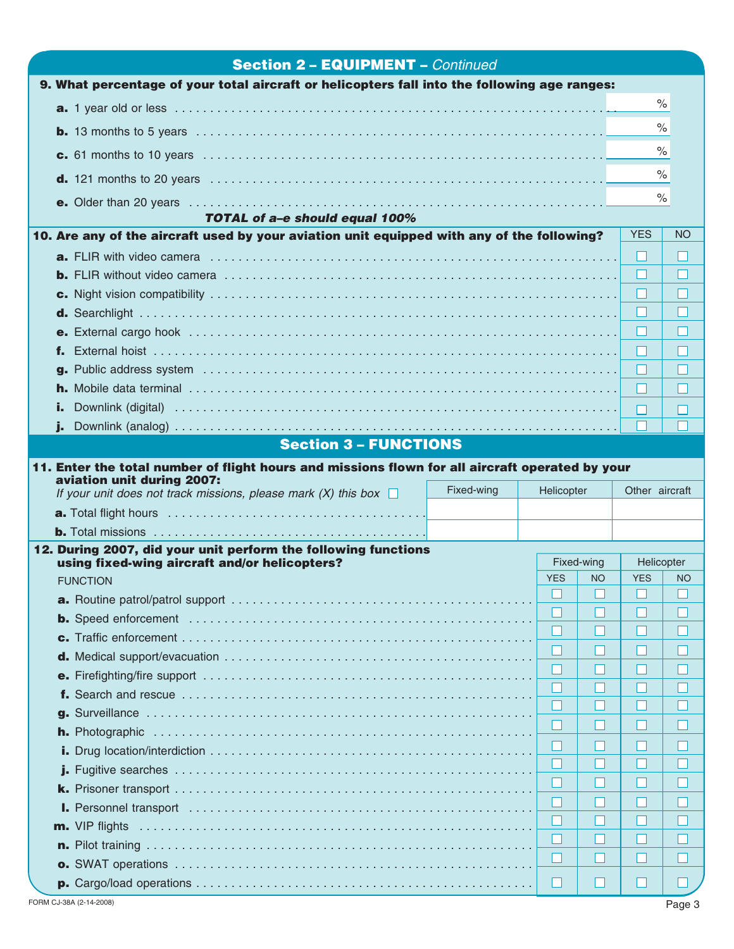| <b>Section 2 - EQUIPMENT - Continued</b>                                                                                     |            |                          |        |                          |           |
|------------------------------------------------------------------------------------------------------------------------------|------------|--------------------------|--------|--------------------------|-----------|
| 9. What percentage of your total aircraft or helicopters fall into the following age ranges:                                 |            |                          |        |                          |           |
|                                                                                                                              |            |                          |        |                          | $\%$      |
|                                                                                                                              |            |                          |        |                          | $\%$      |
|                                                                                                                              |            |                          |        |                          | $\%$      |
|                                                                                                                              |            |                          |        |                          | $\%$      |
|                                                                                                                              |            |                          |        |                          |           |
|                                                                                                                              |            |                          |        |                          | $\%$      |
| TOTAL of a-e should equal 100%<br>10. Are any of the aircraft used by your aviation unit equipped with any of the following? |            |                          |        | <b>YES</b>               | <b>NO</b> |
|                                                                                                                              |            |                          |        | H                        |           |
|                                                                                                                              |            |                          |        | ப                        |           |
|                                                                                                                              |            |                          |        | H                        |           |
|                                                                                                                              |            |                          |        | H                        |           |
|                                                                                                                              |            |                          |        | ш                        |           |
|                                                                                                                              |            |                          |        | H                        |           |
|                                                                                                                              |            |                          |        | H                        |           |
|                                                                                                                              |            |                          |        | $\mathbf{1}$             |           |
|                                                                                                                              |            |                          |        |                          |           |
|                                                                                                                              |            |                          |        |                          |           |
| <b>Section 3 - FUNCTIONS</b>                                                                                                 |            |                          |        |                          |           |
| 11. Enter the total number of flight hours and missions flown for all aircraft operated by your                              |            |                          |        |                          |           |
|                                                                                                                              |            |                          |        |                          |           |
| aviation unit during 2007:<br>If your unit does not track missions, please mark $(X)$ this box $\square$                     | Fixed-wing | Helicopter               |        | Other aircraft           |           |
| <b>a.</b> Total flight hours $\ldots \ldots \ldots \ldots \ldots \ldots \ldots \ldots \ldots \ldots \ldots \ldots \ldots$    |            |                          |        |                          |           |
|                                                                                                                              |            |                          |        |                          |           |
| 12. During 2007, did your unit perform the following functions                                                               |            |                          |        |                          |           |
| using fixed-wing aircraft and/or helicopters?                                                                                |            | Fixed-wing<br><b>YES</b> | NO.    | Helicopter<br><b>YES</b> | NO.       |
| <b>FUNCTION</b>                                                                                                              |            | $\Box$                   | $\Box$ | $\Box$                   | $\Box$    |
|                                                                                                                              |            |                          |        |                          |           |
|                                                                                                                              |            |                          |        |                          |           |
|                                                                                                                              |            |                          |        |                          |           |
|                                                                                                                              |            |                          |        |                          |           |
|                                                                                                                              |            |                          |        |                          |           |
|                                                                                                                              |            |                          |        |                          |           |
|                                                                                                                              |            |                          |        |                          |           |
|                                                                                                                              |            |                          |        |                          |           |
|                                                                                                                              |            |                          |        |                          |           |
|                                                                                                                              |            |                          |        |                          |           |
|                                                                                                                              |            |                          |        |                          |           |
|                                                                                                                              |            |                          |        |                          |           |
|                                                                                                                              |            |                          |        |                          |           |
|                                                                                                                              |            | H                        |        |                          |           |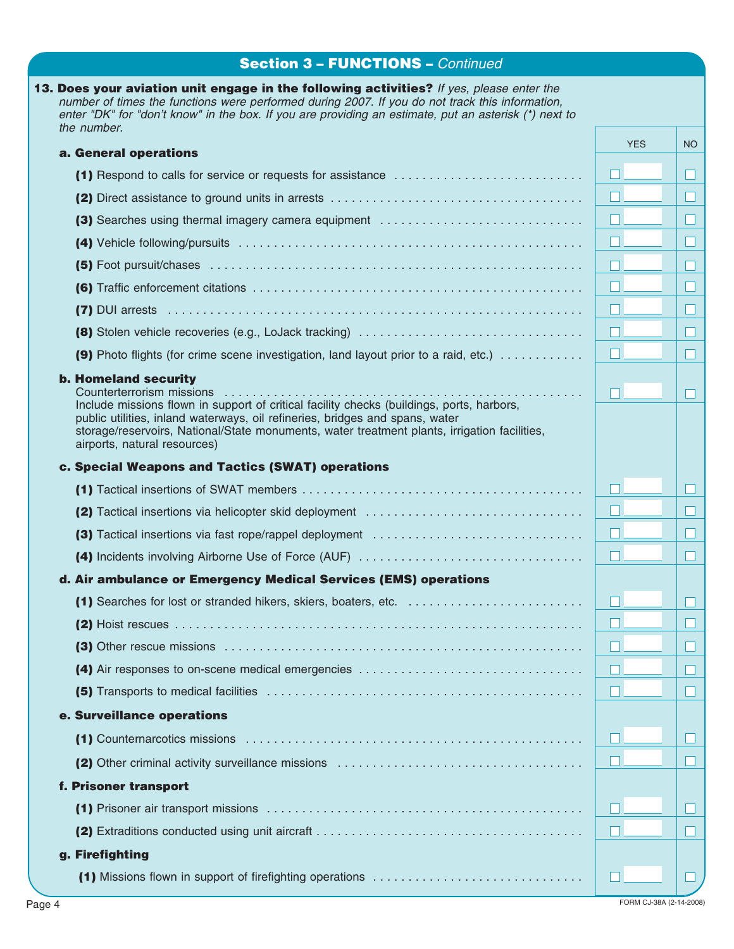# **Section 3 – FUNCTIONS –** *Continued*

| a. General operations                                                                                                                                                                                                                                                                                                                                                                                                                                                                         | <b>YES</b> |  |
|-----------------------------------------------------------------------------------------------------------------------------------------------------------------------------------------------------------------------------------------------------------------------------------------------------------------------------------------------------------------------------------------------------------------------------------------------------------------------------------------------|------------|--|
|                                                                                                                                                                                                                                                                                                                                                                                                                                                                                               |            |  |
|                                                                                                                                                                                                                                                                                                                                                                                                                                                                                               | ш          |  |
|                                                                                                                                                                                                                                                                                                                                                                                                                                                                                               |            |  |
|                                                                                                                                                                                                                                                                                                                                                                                                                                                                                               |            |  |
|                                                                                                                                                                                                                                                                                                                                                                                                                                                                                               |            |  |
|                                                                                                                                                                                                                                                                                                                                                                                                                                                                                               |            |  |
|                                                                                                                                                                                                                                                                                                                                                                                                                                                                                               |            |  |
|                                                                                                                                                                                                                                                                                                                                                                                                                                                                                               | $\Box$     |  |
| (9) Photo flights (for crime scene investigation, land layout prior to a raid, etc.)                                                                                                                                                                                                                                                                                                                                                                                                          |            |  |
|                                                                                                                                                                                                                                                                                                                                                                                                                                                                                               |            |  |
| <b>b. Homeland security</b><br>Counterterrorism missions<br>the contract of the contract of the contract of the contract of the contract of the contract of the contract of<br>.<br>Include missions flown in support of critical facility checks (buildings, ports, harbors,<br>public utilities, inland waterways, oil refineries, bridges and spans, water<br>storage/reservoirs, National/State monuments, water treatment plants, irrigation facilities,<br>airports, natural resources) |            |  |
| c. Special Weapons and Tactics (SWAT) operations                                                                                                                                                                                                                                                                                                                                                                                                                                              |            |  |
|                                                                                                                                                                                                                                                                                                                                                                                                                                                                                               |            |  |
|                                                                                                                                                                                                                                                                                                                                                                                                                                                                                               |            |  |
|                                                                                                                                                                                                                                                                                                                                                                                                                                                                                               |            |  |
|                                                                                                                                                                                                                                                                                                                                                                                                                                                                                               | n.         |  |
| d. Air ambulance or Emergency Medical Services (EMS) operations                                                                                                                                                                                                                                                                                                                                                                                                                               |            |  |
|                                                                                                                                                                                                                                                                                                                                                                                                                                                                                               |            |  |
|                                                                                                                                                                                                                                                                                                                                                                                                                                                                                               | 一          |  |
|                                                                                                                                                                                                                                                                                                                                                                                                                                                                                               |            |  |
| (4) Air responses to on-scene medical emergencies                                                                                                                                                                                                                                                                                                                                                                                                                                             |            |  |
|                                                                                                                                                                                                                                                                                                                                                                                                                                                                                               |            |  |
| e. Surveillance operations                                                                                                                                                                                                                                                                                                                                                                                                                                                                    |            |  |
|                                                                                                                                                                                                                                                                                                                                                                                                                                                                                               |            |  |
|                                                                                                                                                                                                                                                                                                                                                                                                                                                                                               |            |  |
|                                                                                                                                                                                                                                                                                                                                                                                                                                                                                               |            |  |
| f. Prisoner transport                                                                                                                                                                                                                                                                                                                                                                                                                                                                         |            |  |
|                                                                                                                                                                                                                                                                                                                                                                                                                                                                                               |            |  |
|                                                                                                                                                                                                                                                                                                                                                                                                                                                                                               |            |  |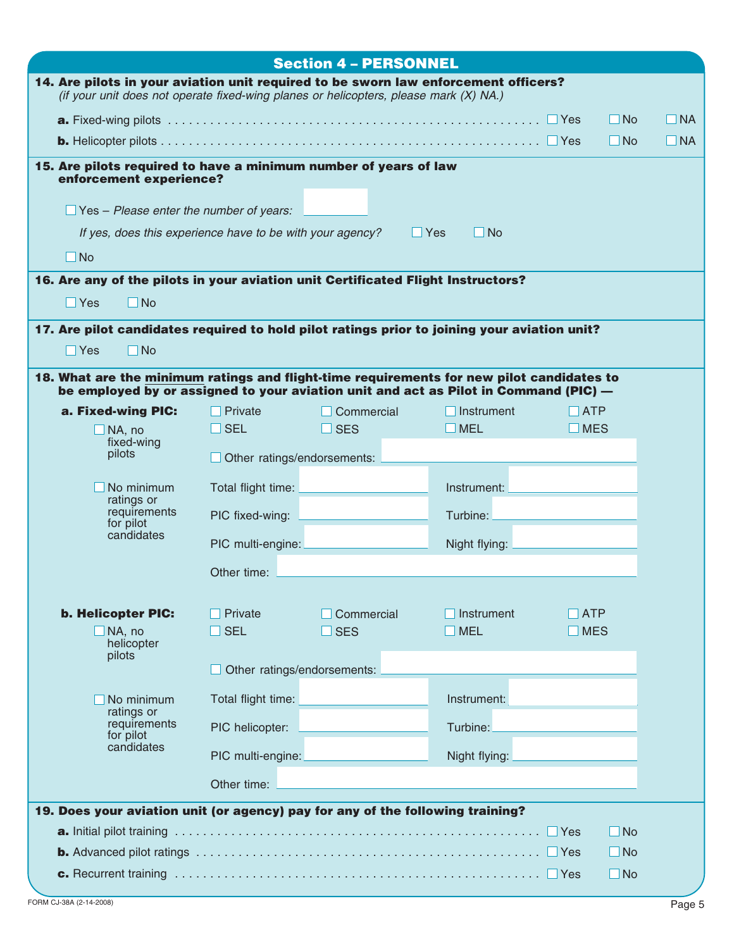|                                                                                                                                                                                   |                                    | <b>Section 4 - PERSONNEL</b> |                         |                              |     |  |  |  |
|-----------------------------------------------------------------------------------------------------------------------------------------------------------------------------------|------------------------------------|------------------------------|-------------------------|------------------------------|-----|--|--|--|
| 14. Are pilots in your aviation unit required to be sworn law enforcement officers?<br>(if your unit does not operate fixed-wing planes or helicopters, please mark (X) NA.)      |                                    |                              |                         |                              |     |  |  |  |
| $\Box$ No                                                                                                                                                                         |                                    |                              |                         |                              |     |  |  |  |
|                                                                                                                                                                                   |                                    |                              |                         | $\Box$ No                    | INA |  |  |  |
| 15. Are pilots required to have a minimum number of years of law<br>enforcement experience?                                                                                       |                                    |                              |                         |                              |     |  |  |  |
| $\Box$ Yes – Please enter the number of years:                                                                                                                                    |                                    |                              |                         |                              |     |  |  |  |
| If yes, does this experience have to be with your agency?                                                                                                                         |                                    |                              | $\Box$ Yes<br>$\Box$ No |                              |     |  |  |  |
| $\Box$ No                                                                                                                                                                         |                                    |                              |                         |                              |     |  |  |  |
| 16. Are any of the pilots in your aviation unit Certificated Flight Instructors?<br>$\Box$ Yes<br>$\Box$ No                                                                       |                                    |                              |                         |                              |     |  |  |  |
| 17. Are pilot candidates required to hold pilot ratings prior to joining your aviation unit?                                                                                      |                                    |                              |                         |                              |     |  |  |  |
| $\square$ No<br>$\exists$ Yes                                                                                                                                                     |                                    |                              |                         |                              |     |  |  |  |
| 18. What are the minimum ratings and flight-time requirements for new pilot candidates to<br>be employed by or assigned to your aviation unit and act as Pilot in Command (PIC) — |                                    |                              |                         |                              |     |  |  |  |
| a. Fixed-wing PIC:                                                                                                                                                                | I Private                          | Commercial                   | Instrument              | $\overline{\phantom{a}}$ ATP |     |  |  |  |
| $\Box$ NA, no                                                                                                                                                                     | $\Box$ SEL                         | $\Box$ SES                   | <b>NEL</b>              | <b>NES</b>                   |     |  |  |  |
| fixed-wing<br>pilots                                                                                                                                                              | $\Box$ Other ratings/endorsements: |                              |                         |                              |     |  |  |  |
| No minimum                                                                                                                                                                        | Total flight time:                 |                              | Instrument:             |                              |     |  |  |  |
| ratings or                                                                                                                                                                        |                                    |                              |                         |                              |     |  |  |  |
| requirements<br>for pilot<br>candidates                                                                                                                                           | PIC fixed-wing:                    |                              | Turbine:                |                              |     |  |  |  |
|                                                                                                                                                                                   | PIC multi-engine:                  |                              | Night flying:           |                              |     |  |  |  |
|                                                                                                                                                                                   | Other time:                        |                              |                         |                              |     |  |  |  |
|                                                                                                                                                                                   |                                    |                              |                         |                              |     |  |  |  |
| <b>b. Helicopter PIC:</b>                                                                                                                                                         | Private                            | Commercial                   | Instrument              | <b>ATP</b>                   |     |  |  |  |
| $\Box$ NA, no<br>helicopter                                                                                                                                                       | $\overline{\phantom{a}}$ SEL       | $\Box$ SES                   | $\blacksquare$ MEL      | MES                          |     |  |  |  |
| pilots                                                                                                                                                                            | Other ratings/endorsements:        |                              |                         |                              |     |  |  |  |
|                                                                                                                                                                                   |                                    |                              |                         |                              |     |  |  |  |
| No minimum<br>ratings or                                                                                                                                                          | Total flight time:                 |                              | Instrument:             |                              |     |  |  |  |
| requirements<br>for pilot                                                                                                                                                         | PIC helicopter:                    |                              | Turbine:                |                              |     |  |  |  |
| candidates                                                                                                                                                                        | PIC multi-engine:                  |                              | Night flying:           |                              |     |  |  |  |
|                                                                                                                                                                                   | Other time:                        |                              |                         |                              |     |  |  |  |
| 19. Does your aviation unit (or agency) pay for any of the following training?                                                                                                    |                                    |                              |                         |                              |     |  |  |  |
|                                                                                                                                                                                   |                                    |                              |                         | $\square$ No                 |     |  |  |  |
|                                                                                                                                                                                   |                                    |                              |                         | $\Box$ No                    |     |  |  |  |
|                                                                                                                                                                                   |                                    |                              |                         | $\square$ No                 |     |  |  |  |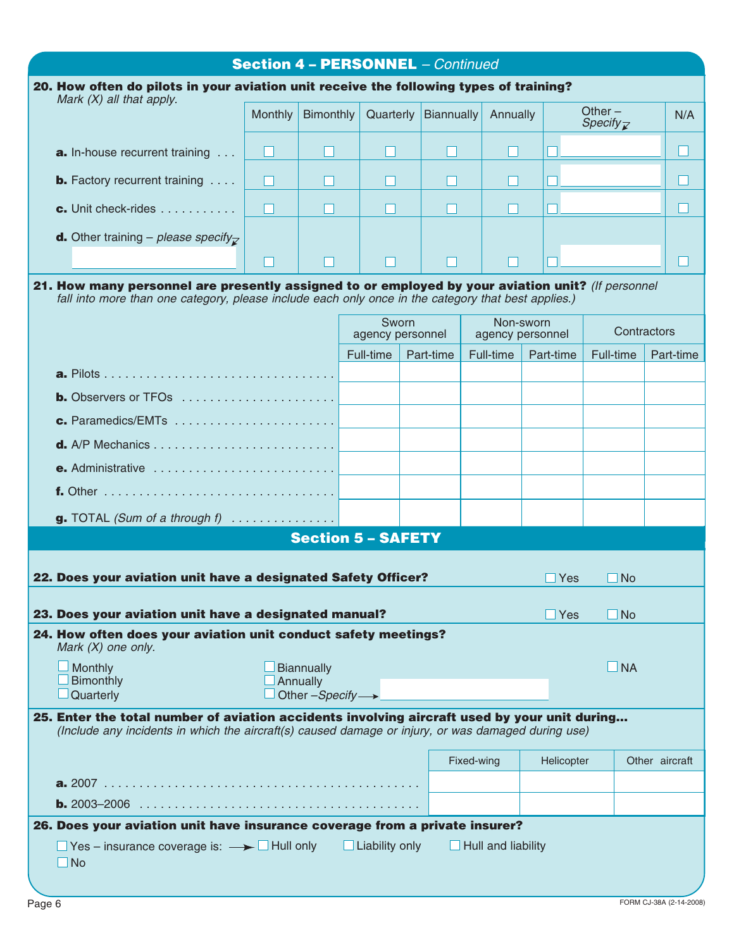|                                                                                                                                                                                                          | <b>Section 4 - PERSONNEL - Continued</b> |                                                               |                           |            |            |                               |               |                                   |                |
|----------------------------------------------------------------------------------------------------------------------------------------------------------------------------------------------------------|------------------------------------------|---------------------------------------------------------------|---------------------------|------------|------------|-------------------------------|---------------|-----------------------------------|----------------|
| 20. How often do pilots in your aviation unit receive the following types of training?<br>Mark $(X)$ all that apply.                                                                                     |                                          |                                                               |                           |            |            |                               |               |                                   |                |
|                                                                                                                                                                                                          | <b>Monthly</b>                           | Bimonthly                                                     | Quarterly                 | Biannually |            | Annually                      |               | Other $-$<br>Specify $\mathbb{Z}$ | N/A            |
| <b>a.</b> In-house recurrent training                                                                                                                                                                    | $\blacksquare$                           | $\mathsf{L}$                                                  |                           |            |            | L                             |               |                                   | $\blacksquare$ |
| <b>b.</b> Factory recurrent training $\ldots$                                                                                                                                                            | П                                        | Н                                                             |                           |            |            |                               |               |                                   |                |
| <b>c.</b> Unit check-rides                                                                                                                                                                               | П                                        | П                                                             |                           |            |            |                               |               |                                   | M              |
| <b>d.</b> Other training – please specify <sub><math>\triangledown</math></sub>                                                                                                                          | Ш                                        | H                                                             |                           | H          |            | H                             |               |                                   | $\blacksquare$ |
| 21. How many personnel are presently assigned to or employed by your aviation unit? (If personnel<br>fall into more than one category, please include each only once in the category that best applies.) |                                          |                                                               |                           |            |            |                               |               |                                   |                |
|                                                                                                                                                                                                          |                                          |                                                               | Sworn<br>agency personnel |            |            | Non-sworn<br>agency personnel |               | Contractors                       |                |
|                                                                                                                                                                                                          |                                          |                                                               | Full-time                 | Part-time  |            | Full-time                     | Part-time     | Full-time                         | Part-time      |
|                                                                                                                                                                                                          |                                          |                                                               |                           |            |            |                               |               |                                   |                |
| <b>b.</b> Observers or TFOs $\ldots$ , $\ldots$ , $\ldots$ , $\ldots$ , $\ldots$<br>c. Paramedics/EMTs $\dots\dots\dots\dots\dots\dots\dots\dots$                                                        |                                          |                                                               |                           |            |            |                               |               |                                   |                |
|                                                                                                                                                                                                          |                                          |                                                               |                           |            |            |                               |               |                                   |                |
| e. Administrative                                                                                                                                                                                        |                                          |                                                               |                           |            |            |                               |               |                                   |                |
|                                                                                                                                                                                                          |                                          |                                                               |                           |            |            |                               |               |                                   |                |
| <b>g.</b> TOTAL (Sum of a through $f$ ) $\ldots$                                                                                                                                                         |                                          |                                                               |                           |            |            |                               |               |                                   |                |
|                                                                                                                                                                                                          |                                          |                                                               | <b>Section 5 - SAFETY</b> |            |            |                               |               |                                   |                |
|                                                                                                                                                                                                          |                                          |                                                               |                           |            |            |                               |               |                                   |                |
| 22. Does your aviation unit have a designated Safety Officer?                                                                                                                                            |                                          |                                                               |                           |            |            |                               | Yes           | <b>No</b>                         |                |
| 23. Does your aviation unit have a designated manual?                                                                                                                                                    |                                          |                                                               |                           |            |            |                               | $\square$ Yes | $\square$ No                      |                |
| 24. How often does your aviation unit conduct safety meetings?<br>Mark $(X)$ one only.                                                                                                                   |                                          |                                                               |                           |            |            |                               |               |                                   |                |
| <b>Monthly</b><br>Bimonthly<br>Quarterly                                                                                                                                                                 |                                          | <b>Biannually</b><br>Annually<br>Other $-Specify \rightarrow$ |                           |            |            |                               |               | $\Box$ NA                         |                |
| 25. Enter the total number of aviation accidents involving aircraft used by your unit during<br>(Include any incidents in which the aircraft(s) caused damage or injury, or was damaged during use)      |                                          |                                                               |                           |            |            |                               |               |                                   |                |
|                                                                                                                                                                                                          |                                          |                                                               |                           |            |            |                               |               |                                   |                |
|                                                                                                                                                                                                          |                                          |                                                               |                           |            | Fixed-wing |                               | Helicopter    |                                   | Other aircraft |
|                                                                                                                                                                                                          |                                          |                                                               |                           |            |            |                               |               |                                   |                |
| 26. Does your aviation unit have insurance coverage from a private insurer?                                                                                                                              |                                          |                                                               |                           |            |            |                               |               |                                   |                |
| $\Box$ Yes – insurance coverage is: $\rightarrow$ $\Box$ Hull only $\Box$ Liability only<br>$\Box$ No                                                                                                    |                                          |                                                               |                           |            |            | $\Box$ Hull and liability     |               |                                   |                |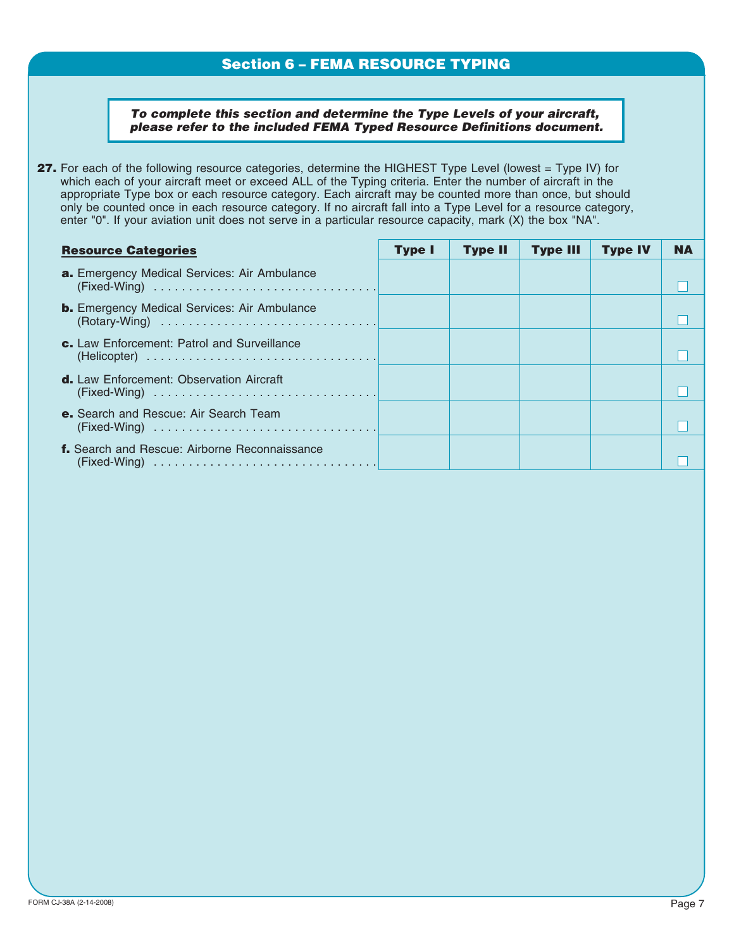## **Section 6 – FEMA RESOURCE TYPING**

*To complete this section and determine the Type Levels of your aircraft, please refer to the included FEMA Typed Resource Definitions document.*

**27.** For each of the following resource categories, determine the HIGHEST Type Level (lowest = Type IV) for which each of your aircraft meet or exceed ALL of the Typing criteria. Enter the number of aircraft in the appropriate Type box or each resource category. Each aircraft may be counted more than once, but should only be counted once in each resource category. If no aircraft fall into a Type Level for a resource category, enter "0". If your aviation unit does not serve in a particular resource capacity, mark (X) the box "NA".

| <b>Resource Categories</b>                           | <b>Type I</b> | <b>Type II</b> | <b>Type III</b> | <b>Type IV</b> | NΔ |
|------------------------------------------------------|---------------|----------------|-----------------|----------------|----|
| a. Emergency Medical Services: Air Ambulance         |               |                |                 |                |    |
| <b>b.</b> Emergency Medical Services: Air Ambulance  |               |                |                 |                |    |
| c. Law Enforcement: Patrol and Surveillance          |               |                |                 |                |    |
| <b>d.</b> Law Enforcement: Observation Aircraft      |               |                |                 |                |    |
| e. Search and Rescue: Air Search Team                |               |                |                 |                |    |
| <b>f.</b> Search and Rescue: Airborne Reconnaissance |               |                |                 |                |    |